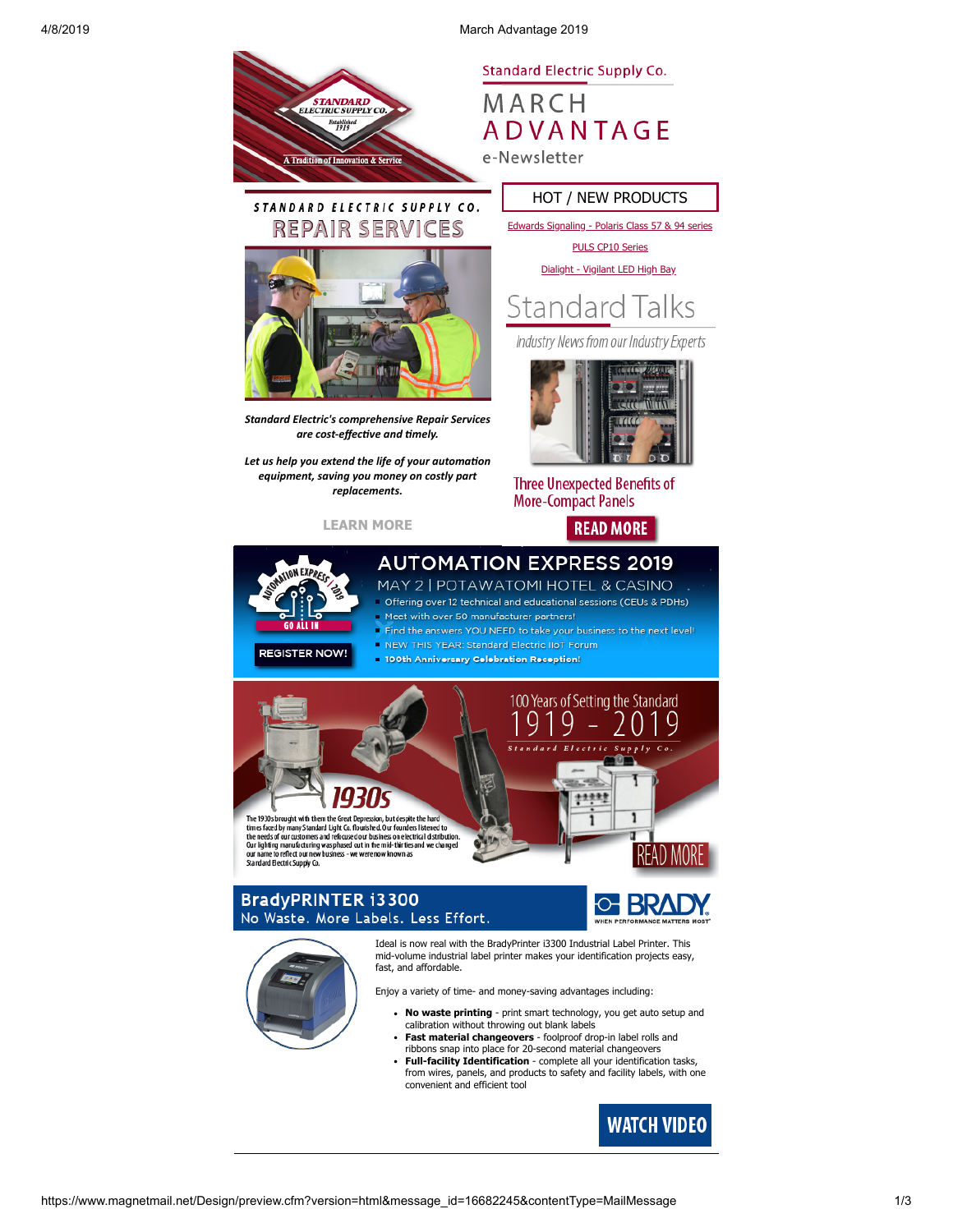4/8/2019 March Advantage 2019



MARCH **ADVANTAGE** e-Newsletter

### STANDARD ELECTRIC SUPPLY CO. **REPAIR SERVI** ICES

tion & Servi

STANDARD<br>ELECTRIC SUPPLY CO. Established<br>1919



*Standard Electric's comprehensive Repair Services* are cost-effective and timely.

Let us help you extend the life of your automation *equipment, saving you money on costly part replacements.*

**[LEARN MORE](https://www.standardelectricsupply.com/content/repair-services/?utm_source=Higher%20Logic&utm_medium=INSERT_CHANNEL%20&utm_content=INSERT_RECIPIENT_ID&utm_campaign=INSERT_LINK_ID)**

## HOT / NEW PRODUCTS

[Edwards Signaling - Polaris Class 57 & 94 series](https://images.magnetmail.net/images/clients/SESC/attach/enewsletter_2019/Edwards_Polaris_Class_.pdf)

[PULS CP10 Series](https://images.magnetmail.net/images/clients/SESC/attach/enewsletter_2019/PULS_CP10.pdf)

[Dialight - Vigilant LED High Bay](https://images.magnetmail.net/images/clients/SESC/attach/enewsletter_2019/Dialight_Vigilant_High_Bay.pdf)



Industry News from our Industry Experts



**Three Unexpected Benefits of More-Compact Panels** 





## **AUTOMATION EXPRESS 2019** MAY 2 | POTAWATOMI HOTEL & CASINO

Offering over 12 technical and educational sessions (CEUs & PDHs) Meet with over 50 manufacturer partners!

- Find the answers YOU NEED to take your business to the next level! NEW THIS YEAR: Standard Electric IIoT Forum
- 100th Anniversary Celebration Reception!
- 100 Years of Setting the Standard O  $r_{l}$  $S$ upp The 1930s brought with them the Great Depression, but despite the hard<br>times faced by many Standard Light Co. flourished. Our founders listened to times faced by many Standard Light Co. flourished. Our founders listened to<br>the needs of our customers and refocused our business on electrical distribution<br>Our lighting manufacturing was phased out in the mid-thirties and nufacturing was phased out in the mid-thirties and we changed<br>lect our new business - we were now known as our name to reflect our new<br>Standard Electric Supply Co. ess - we were n READ MORI

## **BradyPRINTER i3300** No Waste. More Labels. Less Effort.





Enjoy a variety of time- and money-saving advantages including:

- **No waste printing** print smart technology, you get auto setup and calibration without throwing out blank labels
- **Fast material changeovers** foolproof drop-in label rolls and ribbons snap into place for 20-second material changeovers
- **Full-facility Identification** complete all your identification tasks, from wires, panels, and products to safety and facility labels, with one convenient and efficient tool

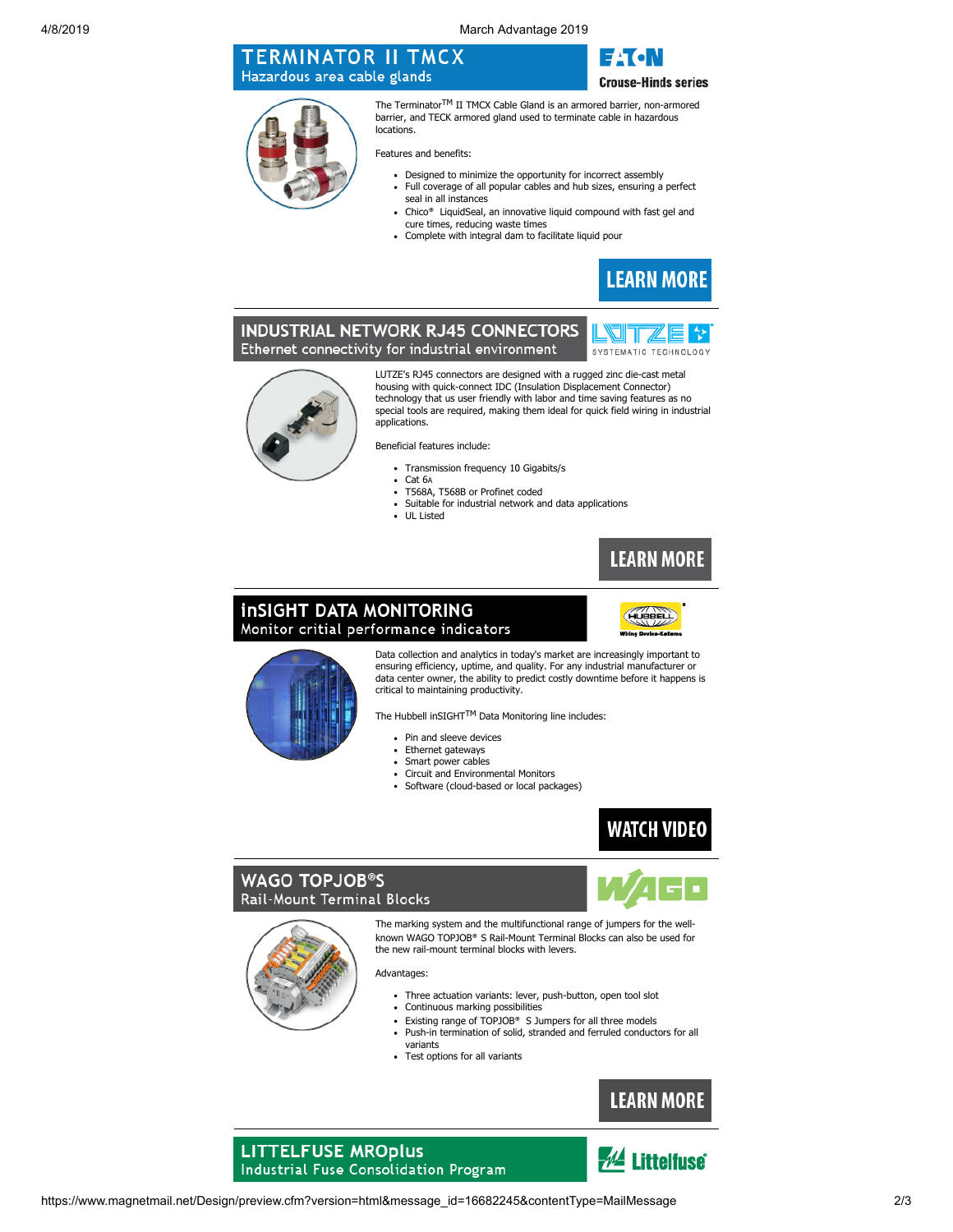4/8/2019 March Advantage 2019

# **TERMINATOR II TMCX** Hazardous area cable glands

E±T•N **Crouse-Hinds series** 

The Terminator<sup>TM</sup> II TMCX Cable Gland is an armored barrier, non-armored barrier, and TECK armored gland used to terminate cable in hazardous locations.

Features and benefits:

- Designed to minimize the opportunity for incorrect assembly
- Full coverage of all popular cables and hub sizes, ensuring a perfect seal in all instances
- Chico® LiquidSeal, an innovative liquid compound with fast gel and cure times, reducing waste times
- Complete with integral dam to facilitate liquid pour



## **INDUSTRIAL NETWORK RJ45 CONNECTORS** Ethernet connectivity for industrial environment





LUTZE's RJ45 connectors are designed with a rugged zinc die-cast metal housing with quick-connect IDC (Insulation Displacement Connector) technology that us user friendly with labor and time saving features as no special tools are required, making them ideal for quick field wiring in industrial applications.

Beneficial features include:

- Transmission frequency 10 Gigabits/s
- Cat 6A
- T568A, T568B or Profinet coded
- Suitable for industrial network and data applications
- $\ddot{\phantom{a}}$ UL Listed



# **InSIGHT DATA MONITORING** Monitor critial performance indicators





Data collection and analytics in today's market are increasingly important to ensuring efficiency, uptime, and quality. For any industrial manufacturer or data center owner, the ability to predict costly downtime before it happens is critical to maintaining productivity.

The Hubbell inSIGHTTM Data Monitoring line includes:

- $\ddot{\phantom{a}}$ Pin and sleeve devices
- $\ddot{\phantom{a}}$ Ethernet gateways
- $\overline{a}$ Smart power cables
- Circuit and Environmental Monitors
- $\ddot{\phantom{0}}$ Software (cloud-based or local packages)



# **WAGO TOPJOB®S** Rail-Mount Terminal Blocks





The marking system and the multifunctional range of jumpers for the wellknown WAGO TOPJOB® S Rail-Mount Terminal Blocks can also be used for the new rail-mount terminal blocks with levers.

Advantages:

- Three actuation variants: lever, push-button, open tool slot  $\bullet$
- Continuous marking possibilities  $\bullet$
- $\bullet$ Existing range of TOPJOB® S Jumpers for all three models
- Push-in termination of solid, stranded and ferruled conductors for all variants
- Test options for all variants